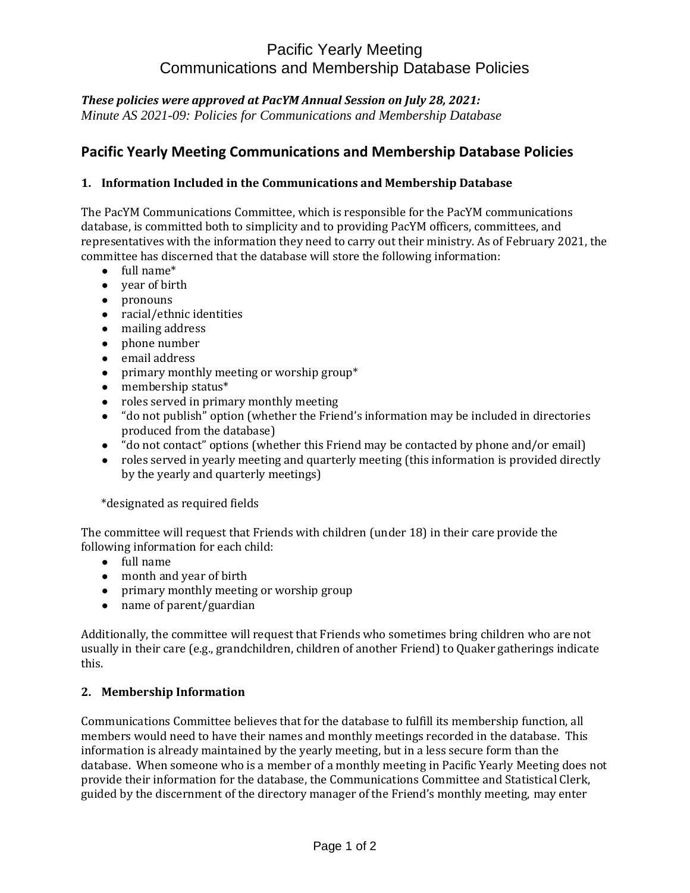# Pacific Yearly Meeting Communications and Membership Database Policies

### *These policies were approved at PacYM Annual Session on July 28, 2021:*

*Minute AS 2021-09: Policies for Communications and Membership Database*

## **Pacific Yearly Meeting Communications and Membership Database Policies**

### **1. Information Included in the Communications and Membership Database**

The PacYM Communications Committee, which is responsible for the PacYM communications database, is committed both to simplicity and to providing PacYM officers, committees, and representatives with the information they need to carry out their ministry. As of February 2021, the committee has discerned that the database will store the following information:

- $\bullet$  full name\*
- year of birth
- pronouns
- racial/ethnic identities
- mailing address
- phone number
- email address
- primary monthly meeting or worship group\*
- membership status\*
- roles served in primary monthly meeting
- "do not publish" option (whether the Friend's information may be included in directories produced from the database)
- "do not contact" options (whether this Friend may be contacted by phone and/or email)
- roles served in yearly meeting and quarterly meeting (this information is provided directly by the yearly and quarterly meetings)

\*designated as required fields

The committee will request that Friends with children (under 18) in their care provide the following information for each child:

- full name
- month and year of birth
- primary monthly meeting or worship group
- name of parent/guardian

Additionally, the committee will request that Friends who sometimes bring children who are not usually in their care (e.g., grandchildren, children of another Friend) to Quaker gatherings indicate this.

#### **2. Membership Information**

Communications Committee believes that for the database to fulfill its membership function, all members would need to have their names and monthly meetings recorded in the database. This information is already maintained by the yearly meeting, but in a less secure form than the database. When someone who is a member of a monthly meeting in Pacific Yearly Meeting does not provide their information for the database, the Communications Committee and Statistical Clerk, guided by the discernment of the directory manager of the Friend's monthly meeting, may enter